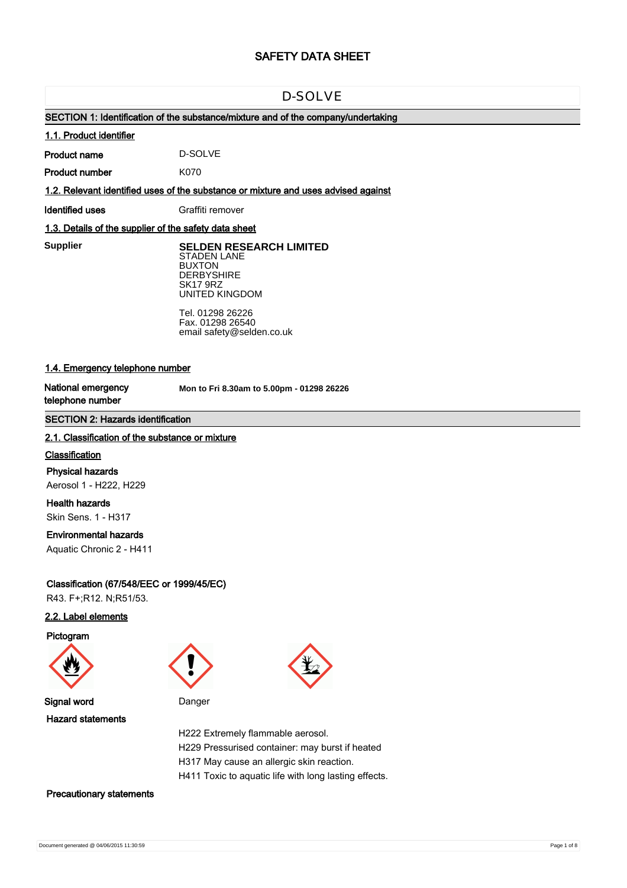# **SAFETY DATA SHEET**

# D-SOLVE

# **SECTION 1: Identification of the substance/mixture and of the company/undertaking**

### **1.1. Product identifier**

**Product name** D-SOLVE

**Product number** K070

**1.2. Relevant identified uses of the substance or mixture and uses advised against**

**Identified uses** Graffiti remover

# **1.3. Details of the supplier of the safety data sheet**

**Supplier** 

**SELDEN RESEARCH LIMITED** STADEN LANE BUXTON **DERBYSHIRE** SK17 9RZ UNITED KINGDOM

Tel. 01298 26226 Fax. 01298 26540 email safety@selden.co.uk

# **1.4. Emergency telephone number**

**National emergency telephone number**

**Mon to Fri 8.30am to 5.00pm - 01298 26226**

## **SECTION 2: Hazards identification**

### **2.1. Classification of the substance or mixture**

### **Classification**

**Physical hazards** Aerosol 1 - H222, H229

**Health hazards** Skin Sens. 1 - H317

# **Environmental hazards**

Aquatic Chronic 2 - H411

# **Classification (67/548/EEC or 1999/45/EC)**

R43. F+;R12. N;R51/53.

# **2.2. Label elements**

**Pictogram**





**Signal word** Danger **Hazard statements**



H222 Extremely flammable aerosol. H229 Pressurised container: may burst if heated H317 May cause an allergic skin reaction. H411 Toxic to aquatic life with long lasting effects.

**Precautionary statements**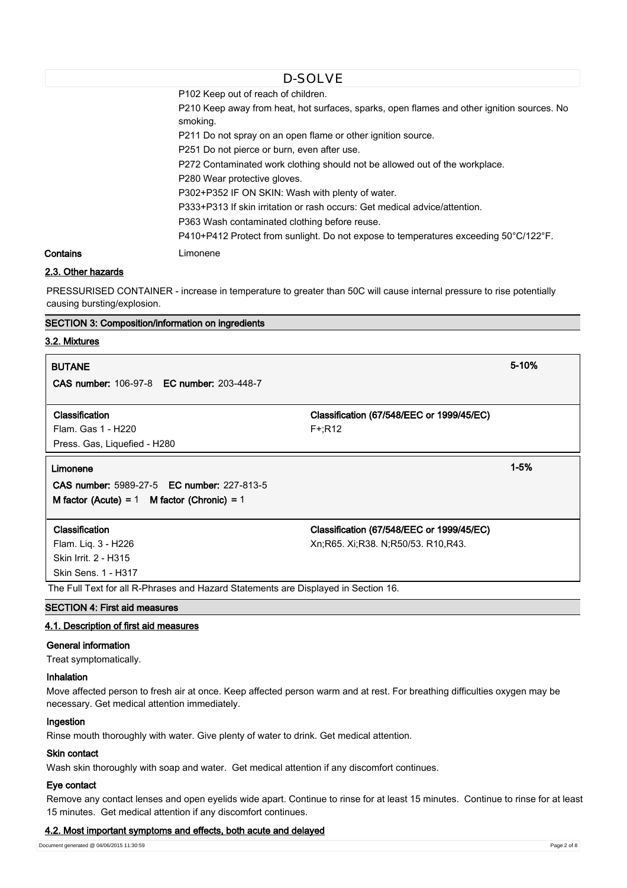P102 Keep out of reach of children. P210 Keep away from heat, hot surfaces, sparks, open flames and other ignition sources. No smoking. P211 Do not spray on an open flame or other ignition source. P251 Do not pierce or burn, even after use. P272 Contaminated work clothing should not be allowed out of the workplace. P280 Wear protective gloves. P302+P352 IF ON SKIN: Wash with plenty of water. P333+P313 If skin irritation or rash occurs: Get medical advice/attention. P363 Wash contaminated clothing before reuse. P410+P412 Protect from sunlight. Do not expose to temperatures exceeding 50°C/122°F. **Contains** Limonene D-SOLVE

# **2.3. Other hazards**

PRESSURISED CONTAINER - increase in temperature to greater than 50C will cause internal pressure to rise potentially causing bursting/explosion.

### **SECTION 3: Composition/information on ingredients**

# **3.2. Mixtures**

| <b>BUTANE</b>                                     |                                           | 5-10%    |
|---------------------------------------------------|-------------------------------------------|----------|
| <b>CAS number: 106-97-8 EC number: 203-448-7</b>  |                                           |          |
| Classification                                    | Classification (67/548/EEC or 1999/45/EC) |          |
| Flam. Gas 1 - H220                                | $F + R12$                                 |          |
| Press. Gas, Liquefied - H280                      |                                           |          |
| Limonene                                          |                                           | $1 - 5%$ |
| <b>CAS number: 5989-27-5 EC number: 227-813-5</b> |                                           |          |
| M factor (Acute) = $1$ M factor (Chronic) = $1$   |                                           |          |
|                                                   |                                           |          |
| Classification                                    | Classification (67/548/EEC or 1999/45/EC) |          |
| Flam. Liq. 3 - H226                               | Xn; R65. Xi; R38. N; R50/53. R10, R43.    |          |
| Skin Irrit. 2 - H315                              |                                           |          |
| Skin Sens. 1 - H317                               |                                           |          |

The Full Text for all R-Phrases and Hazard Statements are Displayed in Section 16.

# **SECTION 4: First aid measures**

### **4.1. Description of first aid measures**

#### **General information**

Treat symptomatically.

# **Inhalation**

Move affected person to fresh air at once. Keep affected person warm and at rest. For breathing difficulties oxygen may be necessary. Get medical attention immediately.

# **Ingestion**

Rinse mouth thoroughly with water. Give plenty of water to drink. Get medical attention.

### **Skin contact**

Wash skin thoroughly with soap and water. Get medical attention if any discomfort continues.

### **Eye contact**

Remove any contact lenses and open eyelids wide apart. Continue to rinse for at least 15 minutes. Continue to rinse for at least 15 minutes. Get medical attention if any discomfort continues.

### **4.2. Most important symptoms and effects, both acute and delayed**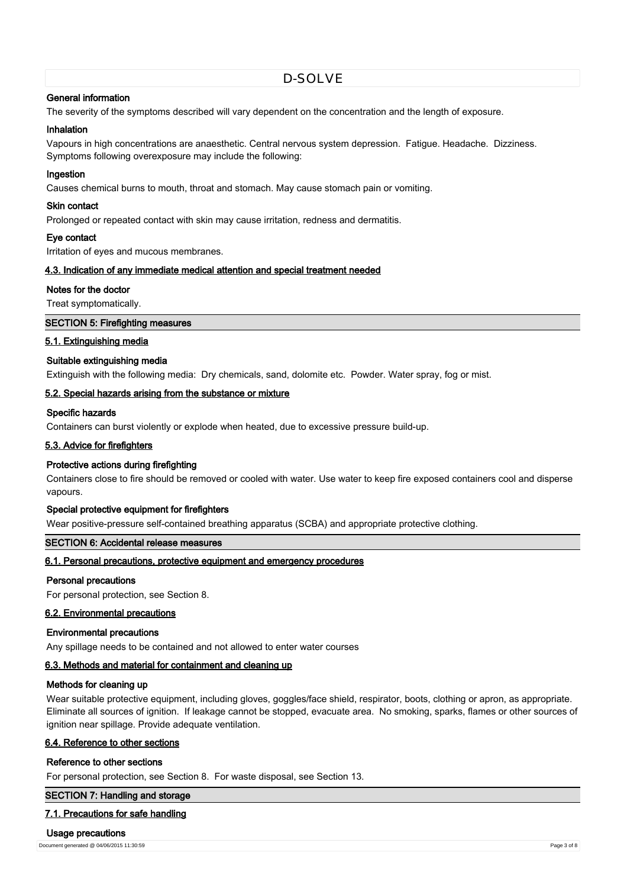# **General information**

The severity of the symptoms described will vary dependent on the concentration and the length of exposure.

#### **Inhalation**

Vapours in high concentrations are anaesthetic. Central nervous system depression. Fatigue. Headache. Dizziness. Symptoms following overexposure may include the following:

#### **Ingestion**

Causes chemical burns to mouth, throat and stomach. May cause stomach pain or vomiting.

#### **Skin contact**

Prolonged or repeated contact with skin may cause irritation, redness and dermatitis.

## **Eye contact**

Irritation of eyes and mucous membranes.

### **4.3. Indication of any immediate medical attention and special treatment needed**

### **Notes for the doctor**

Treat symptomatically.

### **SECTION 5: Firefighting measures**

### **5.1. Extinguishing media**

#### **Suitable extinguishing media**

Extinguish with the following media: Dry chemicals, sand, dolomite etc. Powder. Water spray, fog or mist.

### **5.2. Special hazards arising from the substance or mixture**

## **Specific hazards**

Containers can burst violently or explode when heated, due to excessive pressure build-up.

### **5.3. Advice for firefighters**

#### **Protective actions during firefighting**

Containers close to fire should be removed or cooled with water. Use water to keep fire exposed containers cool and disperse vapours.

## **Special protective equipment for firefighters**

Wear positive-pressure self-contained breathing apparatus (SCBA) and appropriate protective clothing.

# **SECTION 6: Accidental release measures**

### **6.1. Personal precautions, protective equipment and emergency procedures**

#### **Personal precautions**

For personal protection, see Section 8.

### **6.2. Environmental precautions**

#### **Environmental precautions**

Any spillage needs to be contained and not allowed to enter water courses

## **6.3. Methods and material for containment and cleaning up**

#### **Methods for cleaning up**

Wear suitable protective equipment, including gloves, goggles/face shield, respirator, boots, clothing or apron, as appropriate. Eliminate all sources of ignition. If leakage cannot be stopped, evacuate area. No smoking, sparks, flames or other sources of ignition near spillage. Provide adequate ventilation.

## **6.4. Reference to other sections**

### **Reference to other sections**

For personal protection, see Section 8. For waste disposal, see Section 13.

### **SECTION 7: Handling and storage**

### **7.1. Precautions for safe handling**

#### **Usage precautions**

Document generated @ 04/06/2015 11:30:59 Page 3 of 8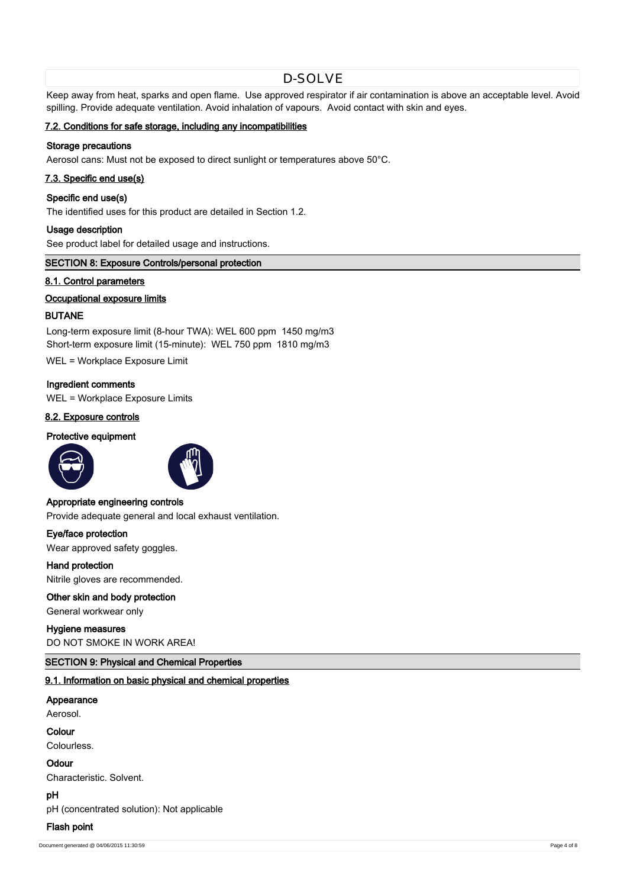Keep away from heat, sparks and open flame. Use approved respirator if air contamination is above an acceptable level. Avoid spilling. Provide adequate ventilation. Avoid inhalation of vapours. Avoid contact with skin and eyes.

## **7.2. Conditions for safe storage, including any incompatibilities**

# **Storage precautions**

Aerosol cans: Must not be exposed to direct sunlight or temperatures above 50°C.

## **7.3. Specific end use(s)**

#### **Specific end use(s)**

The identified uses for this product are detailed in Section 1.2.

### **Usage description**

See product label for detailed usage and instructions.

### **SECTION 8: Exposure Controls/personal protection**

### **8.1. Control parameters**

## **Occupational exposure limits**

# **BUTANE**

Long-term exposure limit (8-hour TWA): WEL 600 ppm 1450 mg/m3 Short-term exposure limit (15-minute): WEL 750 ppm 1810 mg/m3

WEL = Workplace Exposure Limit

#### **Ingredient comments**

WEL = Workplace Exposure Limits

### **8.2. Exposure controls**

# **Protective equipment**





## **Appropriate engineering controls**

Provide adequate general and local exhaust ventilation.

**Eye/face protection** Wear approved safety goggles.

**Hand protection** Nitrile gloves are recommended.

# **Other skin and body protection**

General workwear only

### **Hygiene measures**

DO NOT SMOKE IN WORK AREA!

### **SECTION 9: Physical and Chemical Properties**

## **9.1. Information on basic physical and chemical properties**

# **Appearance**

Aerosol.

# **Colour**

Colourless.

# **Odour**

Characteristic. Solvent.

**pH**

pH (concentrated solution): Not applicable

# **Flash point**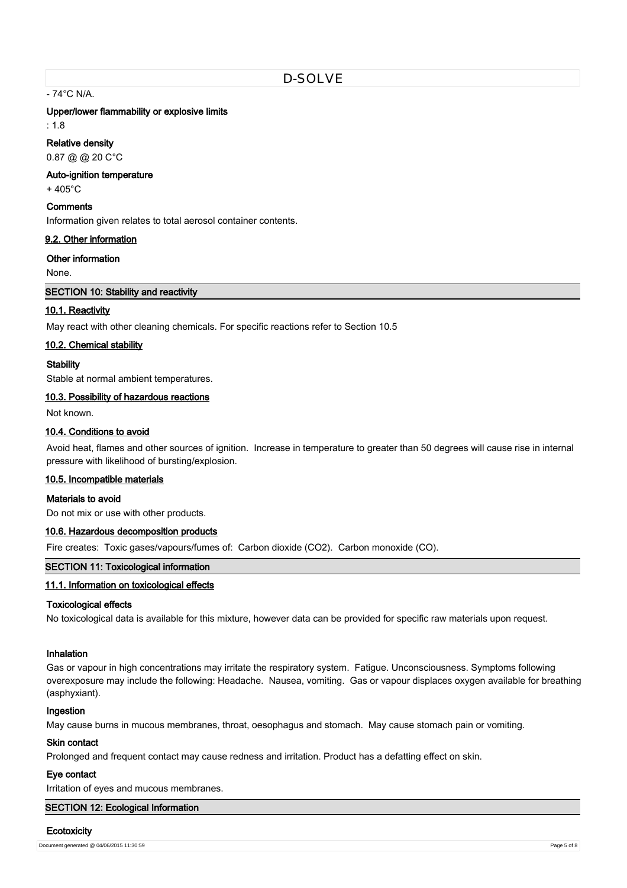- 74°C N/A.

#### **Upper/lower flammability or explosive limits**

: 1.8

### **Relative density**

0.87 @ @ 20 C°C

## **Auto-ignition temperature**

+ 405°C

# **Comments**

Information given relates to total aerosol container contents.

## **9.2. Other information**

**Other information**

None.

### **SECTION 10: Stability and reactivity**

## **10.1. Reactivity**

May react with other cleaning chemicals. For specific reactions refer to Section 10.5

### **10.2. Chemical stability**

### **Stability**

Stable at normal ambient temperatures.

## **10.3. Possibility of hazardous reactions**

Not known.

# **10.4. Conditions to avoid**

Avoid heat, flames and other sources of ignition. Increase in temperature to greater than 50 degrees will cause rise in internal pressure with likelihood of bursting/explosion.

#### **10.5. Incompatible materials**

### **Materials to avoid**

Do not mix or use with other products.

## **10.6. Hazardous decomposition products**

Fire creates: Toxic gases/vapours/fumes of: Carbon dioxide (CO2). Carbon monoxide (CO).

# **SECTION 11: Toxicological information**

# **11.1. Information on toxicological effects**

#### **Toxicological effects**

No toxicological data is available for this mixture, however data can be provided for specific raw materials upon request.

## **Inhalation**

Gas or vapour in high concentrations may irritate the respiratory system. Fatigue. Unconsciousness. Symptoms following overexposure may include the following: Headache. Nausea, vomiting. Gas or vapour displaces oxygen available for breathing (asphyxiant).

### **Ingestion**

May cause burns in mucous membranes, throat, oesophagus and stomach. May cause stomach pain or vomiting.

# **Skin contact**

Prolonged and frequent contact may cause redness and irritation. Product has a defatting effect on skin.

# **Eye contact**

Irritation of eyes and mucous membranes.

# **SECTION 12: Ecological Information**

# **Ecotoxicity**

Document generated @ 04/06/2015 11:30:59 Page 5 of 8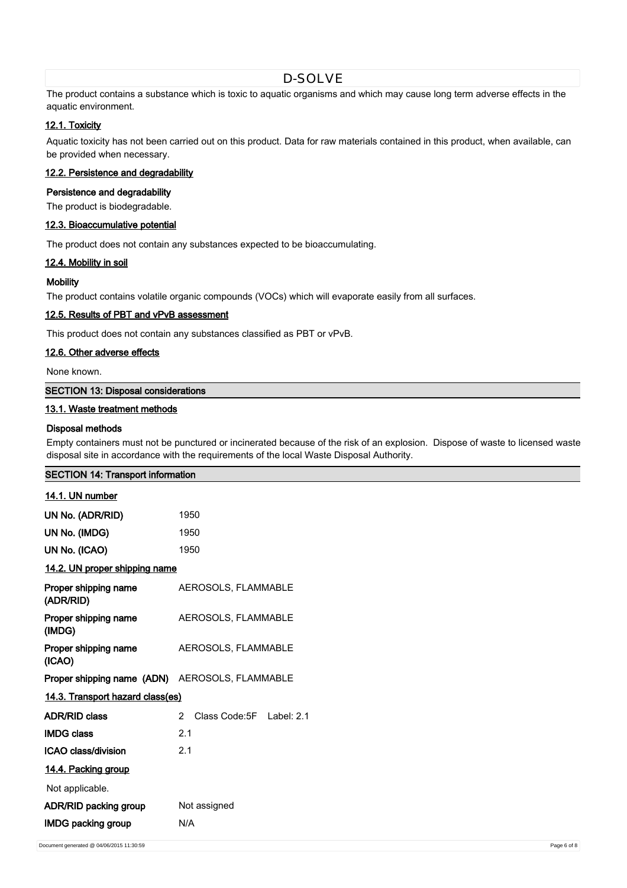The product contains a substance which is toxic to aquatic organisms and which may cause long term adverse effects in the aquatic environment.

# **12.1. Toxicity**

Aquatic toxicity has not been carried out on this product. Data for raw materials contained in this product, when available, can be provided when necessary.

# **12.2. Persistence and degradability**

# **Persistence and degradability**

The product is biodegradable.

### **12.3. Bioaccumulative potential**

The product does not contain any substances expected to be bioaccumulating.

### **12.4. Mobility in soil**

### **Mobility**

The product contains volatile organic compounds (VOCs) which will evaporate easily from all surfaces.

### **12.5. Results of PBT and vPvB assessment**

This product does not contain any substances classified as PBT or vPvB.

# **12.6. Other adverse effects**

None known.

# **SECTION 13: Disposal considerations**

# **13.1. Waste treatment methods**

**SECTION 14: Transport information**

### **Disposal methods**

Empty containers must not be punctured or incinerated because of the risk of an explosion. Dispose of waste to licensed waste disposal site in accordance with the requirements of the local Waste Disposal Authority.

| 14.1. UN number                                              |                                            |  |
|--------------------------------------------------------------|--------------------------------------------|--|
| UN No. (ADR/RID)                                             | 1950                                       |  |
| UN No. (IMDG)                                                | 1950                                       |  |
| UN No. (ICAO)                                                | 1950                                       |  |
| 14.2. UN proper shipping name                                |                                            |  |
| <b>Proper shipping name AEROSOLS, FLAMMABLE</b><br>(ADR/RID) |                                            |  |
| <b>Proper shipping name AEROSOLS, FLAMMABLE</b><br>(IMDG)    |                                            |  |
| <b>Proper shipping name</b> AEROSOLS, FLAMMABLE<br>(ICAO)    |                                            |  |
| Proper shipping name (ADN) AEROSOLS, FLAMMABLE               |                                            |  |
| 14.3. Transport hazard class(es)                             |                                            |  |
| <b>ADR/RID class</b>                                         | Class Code: 5F Label: 2.1<br>$\mathcal{P}$ |  |
| <b>IMDG class</b>                                            | 2.1                                        |  |
| ICAO class/division                                          | 2.1                                        |  |
| 14.4. Packing group                                          |                                            |  |
| Not applicable.                                              |                                            |  |
| ADR/RID packing group                                        | Not assigned                               |  |
| <b>IMDG packing group</b>                                    | N/A                                        |  |
|                                                              |                                            |  |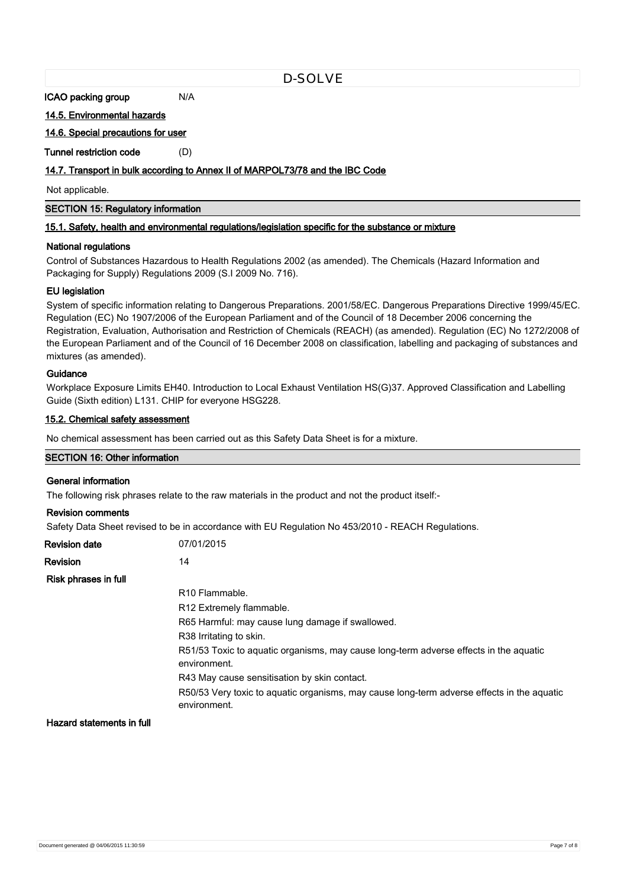**ICAO packing group M/A** 

**14.5. Environmental hazards**

**14.6. Special precautions for user**

**Tunnel restriction code** (D)

# **14.7. Transport in bulk according to Annex II of MARPOL73/78 and the IBC Code**

Not applicable.

**SECTION 15: Regulatory information**

### **15.1. Safety, health and environmental regulations/legislation specific for the substance or mixture**

### **National regulations**

Control of Substances Hazardous to Health Regulations 2002 (as amended). The Chemicals (Hazard Information and Packaging for Supply) Regulations 2009 (S.I 2009 No. 716).

### **EU legislation**

System of specific information relating to Dangerous Preparations. 2001/58/EC. Dangerous Preparations Directive 1999/45/EC. Regulation (EC) No 1907/2006 of the European Parliament and of the Council of 18 December 2006 concerning the Registration, Evaluation, Authorisation and Restriction of Chemicals (REACH) (as amended). Regulation (EC) No 1272/2008 of the European Parliament and of the Council of 16 December 2008 on classification, labelling and packaging of substances and mixtures (as amended).

# **Guidance**

Workplace Exposure Limits EH40. Introduction to Local Exhaust Ventilation HS(G)37. Approved Classification and Labelling Guide (Sixth edition) L131. CHIP for everyone HSG228.

### **15.2. Chemical safety assessment**

No chemical assessment has been carried out as this Safety Data Sheet is for a mixture.

# **SECTION 16: Other information**

# **General information**

The following risk phrases relate to the raw materials in the product and not the product itself:-

# **Revision comments**

Safety Data Sheet revised to be in accordance with EU Regulation No 453/2010 - REACH Regulations.

| <b>Revision date</b> | 07/01/2015                                                                                                 |
|----------------------|------------------------------------------------------------------------------------------------------------|
| Revision             | 14                                                                                                         |
| Risk phrases in full |                                                                                                            |
|                      | R <sub>10</sub> Flammable.                                                                                 |
|                      | R <sub>12</sub> Extremely flammable.                                                                       |
|                      | R65 Harmful: may cause lung damage if swallowed.                                                           |
|                      | R38 Irritating to skin.                                                                                    |
|                      | R51/53 Toxic to aguatic organisms, may cause long-term adverse effects in the aguatic<br>environment.      |
|                      | R43 May cause sensitisation by skin contact.                                                               |
|                      | R50/53 Very toxic to aguatic organisms, may cause long-term adverse effects in the aguatic<br>environment. |

**Hazard statements in full**